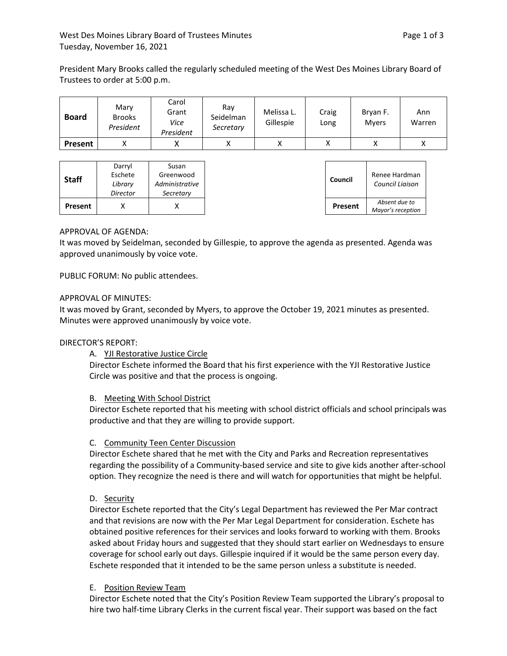President Mary Brooks called the regularly scheduled meeting of the West Des Moines Library Board of Trustees to order at 5:00 p.m.

| <b>Board</b>   | Mary<br><b>Brooks</b><br>President | Carol<br>Grant<br>Vice<br>President | Ray<br>Seidelman<br>Secretary | Melissa L.<br>Gillespie | Craig<br>Long | Bryan F.<br><b>Mvers</b> | Ann<br>Warren |
|----------------|------------------------------------|-------------------------------------|-------------------------------|-------------------------|---------------|--------------------------|---------------|
| <b>Present</b> |                                    |                                     |                               |                         |               |                          | Λ             |

## APPROVAL OF AGENDA:

It was moved by Seidelman, seconded by Gillespie, to approve the agenda as presented. Agenda was approved unanimously by voice vote.

PUBLIC FORUM: No public attendees.

## APPROVAL OF MINUTES:

It was moved by Grant, seconded by Myers, to approve the October 19, 2021 minutes as presented. Minutes were approved unanimously by voice vote.

## DIRECTOR'S REPORT:

A. YJI Restorative Justice Circle

Director Eschete informed the Board that his first experience with the YJI Restorative Justice Circle was positive and that the process is ongoing.

## B. Meeting With School District

Director Eschete reported that his meeting with school district officials and school principals was productive and that they are willing to provide support.

## C. Community Teen Center Discussion

Director Eschete shared that he met with the City and Parks and Recreation representatives regarding the possibility of a Community-based service and site to give kids another after-school option. They recognize the need is there and will watch for opportunities that might be helpful.

## D. Security

Director Eschete reported that the City's Legal Department has reviewed the Per Mar contract and that revisions are now with the Per Mar Legal Department for consideration. Eschete has obtained positive references for their services and looks forward to working with them. Brooks asked about Friday hours and suggested that they should start earlier on Wednesdays to ensure coverage for school early out days. Gillespie inquired if it would be the same person every day. Eschete responded that it intended to be the same person unless a substitute is needed.

## E. Position Review Team

Director Eschete noted that the City's Position Review Team supported the Library's proposal to hire two half-time Library Clerks in the current fiscal year. Their support was based on the fact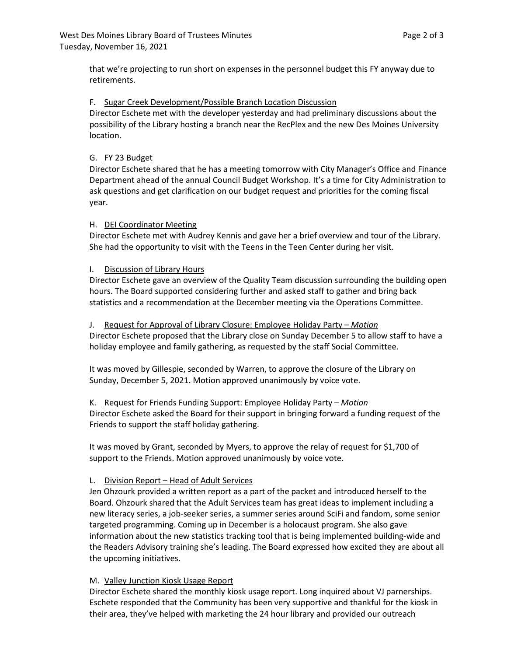that we're projecting to run short on expenses in the personnel budget this FY anyway due to retirements.

## F. Sugar Creek Development/Possible Branch Location Discussion

Director Eschete met with the developer yesterday and had preliminary discussions about the possibility of the Library hosting a branch near the RecPlex and the new Des Moines University location.

## G. FY 23 Budget

Director Eschete shared that he has a meeting tomorrow with City Manager's Office and Finance Department ahead of the annual Council Budget Workshop. It's a time for City Administration to ask questions and get clarification on our budget request and priorities for the coming fiscal year.

## H. DEI Coordinator Meeting

Director Eschete met with Audrey Kennis and gave her a brief overview and tour of the Library. She had the opportunity to visit with the Teens in the Teen Center during her visit.

## I. Discussion of Library Hours

Director Eschete gave an overview of the Quality Team discussion surrounding the building open hours. The Board supported considering further and asked staff to gather and bring back statistics and a recommendation at the December meeting via the Operations Committee.

## J. Request for Approval of Library Closure: Employee Holiday Party – *Motion*

Director Eschete proposed that the Library close on Sunday December 5 to allow staff to have a holiday employee and family gathering, as requested by the staff Social Committee.

It was moved by Gillespie, seconded by Warren, to approve the closure of the Library on Sunday, December 5, 2021. Motion approved unanimously by voice vote.

## K. Request for Friends Funding Support: Employee Holiday Party – *Motion* Director Eschete asked the Board for their support in bringing forward a funding request of the Friends to support the staff holiday gathering.

It was moved by Grant, seconded by Myers, to approve the relay of request for \$1,700 of support to the Friends. Motion approved unanimously by voice vote.

# L. Division Report – Head of Adult Services

Jen Ohzourk provided a written report as a part of the packet and introduced herself to the Board. Ohzourk shared that the Adult Services team has great ideas to implement including a new literacy series, a job-seeker series, a summer series around SciFi and fandom, some senior targeted programming. Coming up in December is a holocaust program. She also gave information about the new statistics tracking tool that is being implemented building-wide and the Readers Advisory training she's leading. The Board expressed how excited they are about all the upcoming initiatives.

# M. Valley Junction Kiosk Usage Report

Director Eschete shared the monthly kiosk usage report. Long inquired about VJ parnerships. Eschete responded that the Community has been very supportive and thankful for the kiosk in their area, they've helped with marketing the 24 hour library and provided our outreach